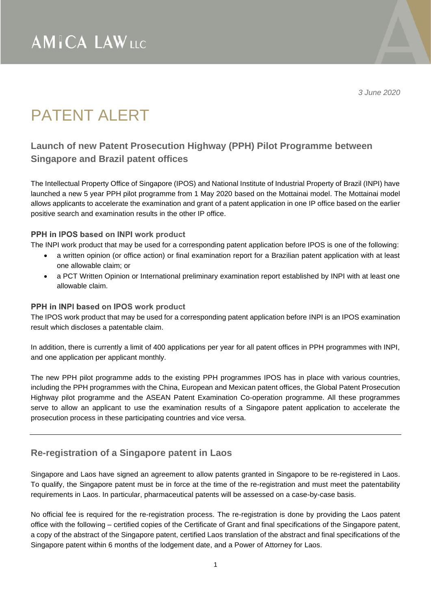*3 June 2020*

# PATENT AI FRT

### **Launch of new Patent Prosecution Highway (PPH) Pilot Programme between Singapore and Brazil patent offices**

The Intellectual Property Office of Singapore (IPOS) and National Institute of Industrial Property of Brazil (INPI) have launched a new 5 year PPH pilot programme from 1 May 2020 based on the Mottainai model. The Mottainai model allows applicants to accelerate the examination and grant of a patent application in one IP office based on the earlier positive search and examination results in the other IP office.

#### PPH in IPOS based on INPI work product

The INPI work product that may be used for a corresponding patent application before IPOS is one of the following:

- a written opinion (or office action) or final examination report for a Brazilian patent application with at least one allowable claim; or
- a PCT Written Opinion or International preliminary examination report established by INPI with at least one allowable claim.

#### PPH in INPI based on IPOS work product

The IPOS work product that may be used for a corresponding patent application before INPI is an IPOS examination result which discloses a patentable claim.

In addition, there is currently a limit of 400 applications per year for all patent offices in PPH programmes with INPI, and one application per applicant monthly.

The new PPH pilot programme adds to the existing PPH programmes IPOS has in place with various countries, including the PPH programmes with the China, European and Mexican patent offices, the Global Patent Prosecution Highway pilot programme and the ASEAN Patent Examination Co-operation programme. All these programmes serve to allow an applicant to use the examination results of a Singapore patent application to accelerate the prosecution process in these participating countries and vice versa.

### **Re-registration of a Singapore patent in Laos**

Singapore and Laos have signed an agreement to allow patents granted in Singapore to be re-registered in Laos. To qualify, the Singapore patent must be in force at the time of the re-registration and must meet the patentability requirements in Laos. In particular, pharmaceutical patents will be assessed on a case-by-case basis.

No official fee is required for the re-registration process. The re-registration is done by providing the Laos patent office with the following – certified copies of the Certificate of Grant and final specifications of the Singapore patent, a copy of the abstract of the Singapore patent, certified Laos translation of the abstract and final specifications of the Singapore patent within 6 months of the lodgement date, and a Power of Attorney for Laos.